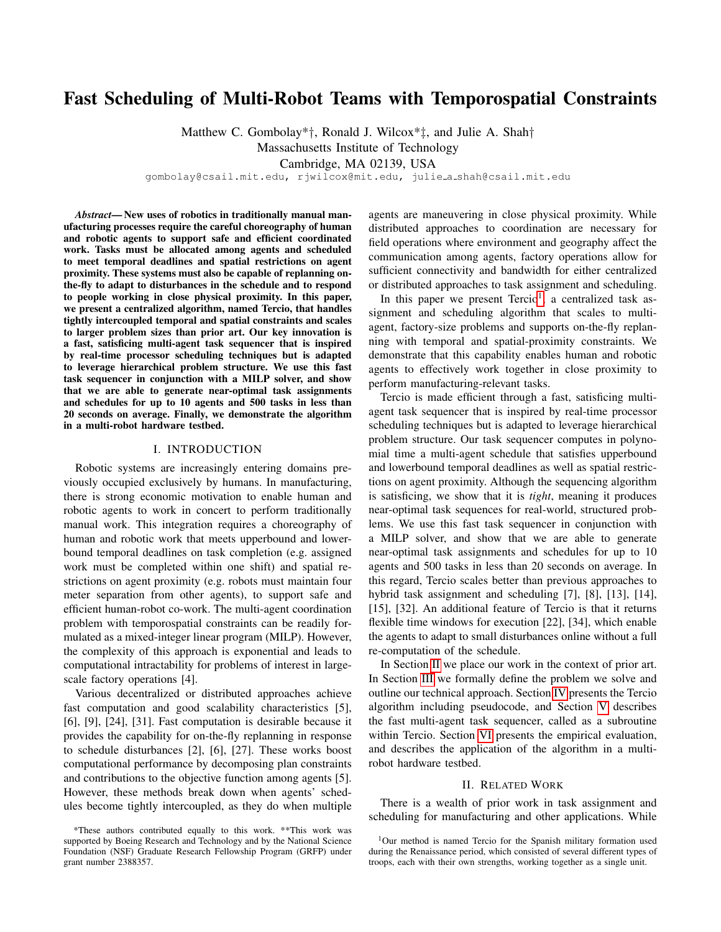# Fast Scheduling of Multi-Robot Teams with Temporospatial Constraints

Matthew C. Gombolay\*†, Ronald J. Wilcox\*‡, and Julie A. Shah†

Massachusetts Institute of Technology

Cambridge, MA 02139, USA

gombolay@csail.mit.edu, rjwilcox@mit.edu, julie a shah@csail.mit.edu

*Abstract*— New uses of robotics in traditionally manual manufacturing processes require the careful choreography of human and robotic agents to support safe and efficient coordinated work. Tasks must be allocated among agents and scheduled to meet temporal deadlines and spatial restrictions on agent proximity. These systems must also be capable of replanning onthe-fly to adapt to disturbances in the schedule and to respond to people working in close physical proximity. In this paper, we present a centralized algorithm, named Tercio, that handles tightly intercoupled temporal and spatial constraints and scales to larger problem sizes than prior art. Our key innovation is a fast, satisficing multi-agent task sequencer that is inspired by real-time processor scheduling techniques but is adapted to leverage hierarchical problem structure. We use this fast task sequencer in conjunction with a MILP solver, and show that we are able to generate near-optimal task assignments and schedules for up to 10 agents and 500 tasks in less than 20 seconds on average. Finally, we demonstrate the algorithm in a multi-robot hardware testbed.

## I. INTRODUCTION

Robotic systems are increasingly entering domains previously occupied exclusively by humans. In manufacturing, there is strong economic motivation to enable human and robotic agents to work in concert to perform traditionally manual work. This integration requires a choreography of human and robotic work that meets upperbound and lowerbound temporal deadlines on task completion (e.g. assigned work must be completed within one shift) and spatial restrictions on agent proximity (e.g. robots must maintain four meter separation from other agents), to support safe and efficient human-robot co-work. The multi-agent coordination problem with temporospatial constraints can be readily formulated as a mixed-integer linear program (MILP). However, the complexity of this approach is exponential and leads to computational intractability for problems of interest in largescale factory operations [4].

Various decentralized or distributed approaches achieve fast computation and good scalability characteristics [5], [6], [9], [24], [31]. Fast computation is desirable because it provides the capability for on-the-fly replanning in response to schedule disturbances [2], [6], [27]. These works boost computational performance by decomposing plan constraints and contributions to the objective function among agents [5]. However, these methods break down when agents' schedules become tightly intercoupled, as they do when multiple agents are maneuvering in close physical proximity. While distributed approaches to coordination are necessary for field operations where environment and geography affect the communication among agents, factory operations allow for sufficient connectivity and bandwidth for either centralized or distributed approaches to task assignment and scheduling.

In this paper we present  $Tercio<sup>1</sup>$  $Tercio<sup>1</sup>$  $Tercio<sup>1</sup>$ , a centralized task assignment and scheduling algorithm that scales to multiagent, factory-size problems and supports on-the-fly replanning with temporal and spatial-proximity constraints. We demonstrate that this capability enables human and robotic agents to effectively work together in close proximity to perform manufacturing-relevant tasks.

Tercio is made efficient through a fast, satisficing multiagent task sequencer that is inspired by real-time processor scheduling techniques but is adapted to leverage hierarchical problem structure. Our task sequencer computes in polynomial time a multi-agent schedule that satisfies upperbound and lowerbound temporal deadlines as well as spatial restrictions on agent proximity. Although the sequencing algorithm is satisficing, we show that it is *tight*, meaning it produces near-optimal task sequences for real-world, structured problems. We use this fast task sequencer in conjunction with a MILP solver, and show that we are able to generate near-optimal task assignments and schedules for up to 10 agents and 500 tasks in less than 20 seconds on average. In this regard, Tercio scales better than previous approaches to hybrid task assignment and scheduling [7], [8], [13], [14], [15], [32]. An additional feature of Tercio is that it returns flexible time windows for execution [22], [34], which enable the agents to adapt to small disturbances online without a full re-computation of the schedule.

In Section [II](#page-0-1) we place our work in the context of prior art. In Section [III](#page-1-0) we formally define the problem we solve and outline our technical approach. Section [IV](#page-2-0) presents the Tercio algorithm including pseudocode, and Section [V](#page-3-0) describes the fast multi-agent task sequencer, called as a subroutine within Tercio. Section [VI](#page-5-0) presents the empirical evaluation, and describes the application of the algorithm in a multirobot hardware testbed.

## II. RELATED WORK

<span id="page-0-1"></span>There is a wealth of prior work in task assignment and scheduling for manufacturing and other applications. While

<sup>\*</sup>These authors contributed equally to this work. \*\*This work was supported by Boeing Research and Technology and by the National Science Foundation (NSF) Graduate Research Fellowship Program (GRFP) under grant number 2388357.

<span id="page-0-0"></span><sup>1</sup>Our method is named Tercio for the Spanish military formation used during the Renaissance period, which consisted of several different types of troops, each with their own strengths, working together as a single unit.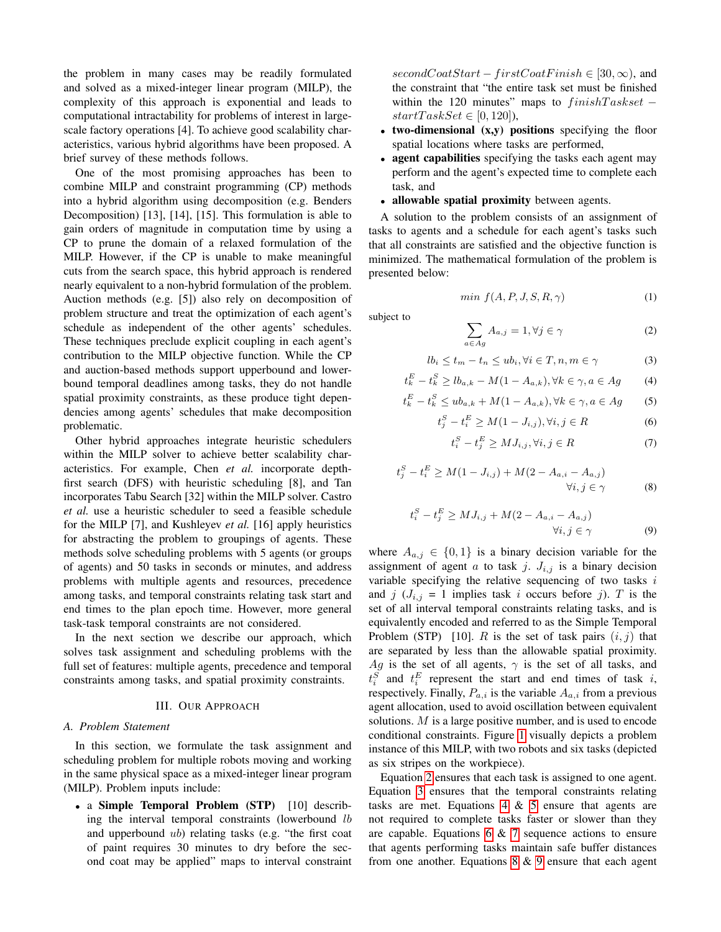the problem in many cases may be readily formulated and solved as a mixed-integer linear program (MILP), the complexity of this approach is exponential and leads to computational intractability for problems of interest in largescale factory operations [4]. To achieve good scalability characteristics, various hybrid algorithms have been proposed. A brief survey of these methods follows.

One of the most promising approaches has been to combine MILP and constraint programming (CP) methods into a hybrid algorithm using decomposition (e.g. Benders Decomposition) [13], [14], [15]. This formulation is able to gain orders of magnitude in computation time by using a CP to prune the domain of a relaxed formulation of the MILP. However, if the CP is unable to make meaningful cuts from the search space, this hybrid approach is rendered nearly equivalent to a non-hybrid formulation of the problem. Auction methods (e.g. [5]) also rely on decomposition of problem structure and treat the optimization of each agent's schedule as independent of the other agents' schedules. These techniques preclude explicit coupling in each agent's contribution to the MILP objective function. While the CP and auction-based methods support upperbound and lowerbound temporal deadlines among tasks, they do not handle spatial proximity constraints, as these produce tight dependencies among agents' schedules that make decomposition problematic.

Other hybrid approaches integrate heuristic schedulers within the MILP solver to achieve better scalability characteristics. For example, Chen *et al.* incorporate depthfirst search (DFS) with heuristic scheduling [8], and Tan incorporates Tabu Search [32] within the MILP solver. Castro *et al.* use a heuristic scheduler to seed a feasible schedule for the MILP [7], and Kushleyev *et al.* [16] apply heuristics for abstracting the problem to groupings of agents. These methods solve scheduling problems with 5 agents (or groups of agents) and 50 tasks in seconds or minutes, and address problems with multiple agents and resources, precedence among tasks, and temporal constraints relating task start and end times to the plan epoch time. However, more general task-task temporal constraints are not considered.

In the next section we describe our approach, which solves task assignment and scheduling problems with the full set of features: multiple agents, precedence and temporal constraints among tasks, and spatial proximity constraints.

## III. OUR APPROACH

## <span id="page-1-9"></span><span id="page-1-0"></span>*A. Problem Statement*

In this section, we formulate the task assignment and scheduling problem for multiple robots moving and working in the same physical space as a mixed-integer linear program (MILP). Problem inputs include:

• a Simple Temporal Problem (STP) [10] describing the interval temporal constraints (lowerbound lb and upperbound ub) relating tasks (e.g. "the first coat of paint requires 30 minutes to dry before the second coat may be applied" maps to interval constraint secondCoatStart – firstCoatFinish  $\in$  [30,  $\infty$ ), and the constraint that "the entire task set must be finished within the 120 minutes" maps to  $finishTaskset$  –  $startTaskSet \in [0, 120]$ ,

- two-dimensional  $(x,y)$  positions specifying the floor spatial locations where tasks are performed,
- agent capabilities specifying the tasks each agent may perform and the agent's expected time to complete each task, and
- allowable spatial proximity between agents.

A solution to the problem consists of an assignment of tasks to agents and a schedule for each agent's tasks such that all constraints are satisfied and the objective function is minimized. The mathematical formulation of the problem is presented below:

$$
min f(A, P, J, S, R, \gamma) \tag{1}
$$

subject to

<span id="page-1-1"></span>
$$
\sum_{a \in Ag} A_{a,j} = 1, \forall j \in \gamma
$$
 (2)

<span id="page-1-2"></span>
$$
lb_i \le t_m - t_n \le ub_i, \forall i \in T, n, m \in \gamma
$$
 (3)

<span id="page-1-3"></span>
$$
t_k^E - t_k^S \ge lb_{a,k} - M(1 - A_{a,k}), \forall k \in \gamma, a \in Ag \tag{4}
$$

<span id="page-1-4"></span>
$$
t_k^E - t_k^S \le ub_{a,k} + M(1 - A_{a,k}), \forall k \in \gamma, a \in Ag \tag{5}
$$

<span id="page-1-5"></span>
$$
t_j^S - t_i^E \ge M(1 - J_{i,j}), \forall i, j \in R
$$
 (6)

<span id="page-1-6"></span>
$$
t_i^S - t_j^E \ge MJ_{i,j}, \forall i, j \in R
$$
 (7)

<span id="page-1-7"></span>
$$
t_j^S - t_i^E \ge M(1 - J_{i,j}) + M(2 - A_{a,i} - A_{a,j})
$$
  
 
$$
\forall i, j \in \gamma
$$
 (8)

<span id="page-1-8"></span>
$$
t_i^S - t_j^E \ge MJ_{i,j} + M(2 - A_{a,i} - A_{a,j})
$$
  

$$
\forall i, j \in \gamma
$$
 (9)

where  $A_{a,j} \in \{0,1\}$  is a binary decision variable for the assignment of agent a to task j.  $J_{i,j}$  is a binary decision variable specifying the relative sequencing of two tasks  $i$ and j  $(J_{i,j} = 1$  implies task i occurs before j). T is the set of all interval temporal constraints relating tasks, and is equivalently encoded and referred to as the Simple Temporal Problem (STP) [10]. R is the set of task pairs  $(i, j)$  that are separated by less than the allowable spatial proximity. Ag is the set of all agents,  $\gamma$  is the set of all tasks, and  $t_i^S$  and  $t_i^E$  represent the start and end times of task i, respectively. Finally,  $P_{a,i}$  is the variable  $A_{a,i}$  from a previous agent allocation, used to avoid oscillation between equivalent solutions. M is a large positive number, and is used to encode conditional constraints. Figure [1](#page-2-1) visually depicts a problem instance of this MILP, with two robots and six tasks (depicted as six stripes on the workpiece).

Equation [2](#page-1-1) ensures that each task is assigned to one agent. Equation [3](#page-1-2) ensures that the temporal constraints relating tasks are met. Equations  $4 \& 5$  $4 \& 5$  ensure that agents are not required to complete tasks faster or slower than they are capable. Equations [6](#page-1-5) & [7](#page-1-6) sequence actions to ensure that agents performing tasks maintain safe buffer distances from one another. Equations  $8 \& 9$  $8 \& 9$  ensure that each agent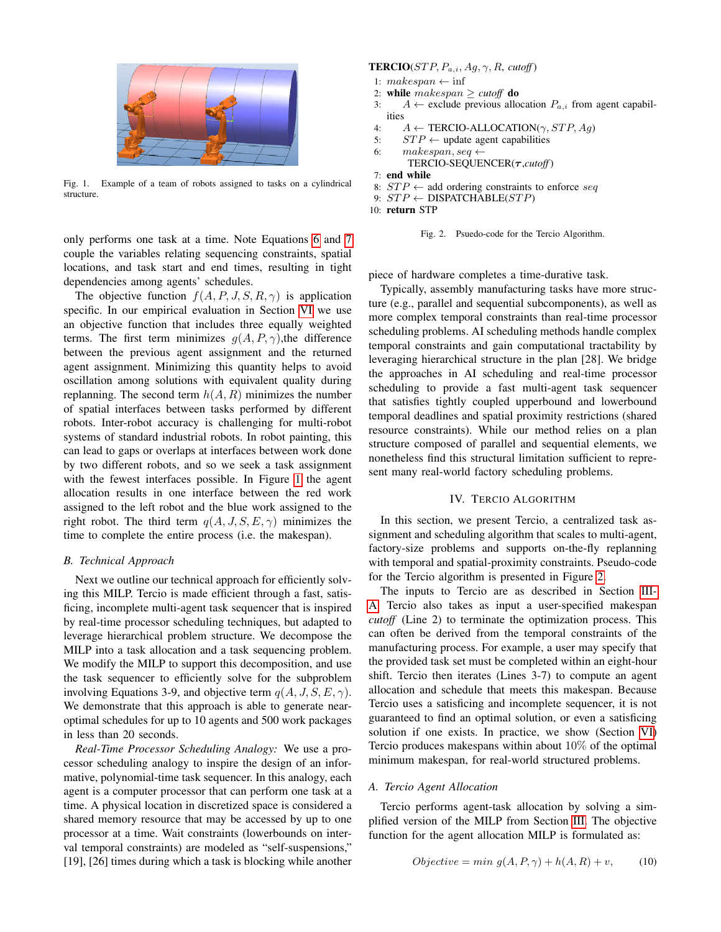

Fig. 1. Example of a team of robots assigned to tasks on a cylindrical structure.

<span id="page-2-1"></span>only performs one task at a time. Note Equations [6](#page-1-5) and [7](#page-1-6) couple the variables relating sequencing constraints, spatial locations, and task start and end times, resulting in tight dependencies among agents' schedules.

The objective function  $f(A, P, J, S, R, \gamma)$  is application specific. In our empirical evaluation in Section [VI](#page-5-0) we use an objective function that includes three equally weighted terms. The first term minimizes  $q(A, P, \gamma)$ , the difference between the previous agent assignment and the returned agent assignment. Minimizing this quantity helps to avoid oscillation among solutions with equivalent quality during replanning. The second term  $h(A, R)$  minimizes the number of spatial interfaces between tasks performed by different robots. Inter-robot accuracy is challenging for multi-robot systems of standard industrial robots. In robot painting, this can lead to gaps or overlaps at interfaces between work done by two different robots, and so we seek a task assignment with the fewest interfaces possible. In Figure [1](#page-2-1) the agent allocation results in one interface between the red work assigned to the left robot and the blue work assigned to the right robot. The third term  $q(A, J, S, E, \gamma)$  minimizes the time to complete the entire process (i.e. the makespan).

## *B. Technical Approach*

Next we outline our technical approach for efficiently solving this MILP. Tercio is made efficient through a fast, satisficing, incomplete multi-agent task sequencer that is inspired by real-time processor scheduling techniques, but adapted to leverage hierarchical problem structure. We decompose the MILP into a task allocation and a task sequencing problem. We modify the MILP to support this decomposition, and use the task sequencer to efficiently solve for the subproblem involving Equations 3-9, and objective term  $q(A, J, S, E, \gamma)$ . We demonstrate that this approach is able to generate nearoptimal schedules for up to 10 agents and 500 work packages in less than 20 seconds.

*Real-Time Processor Scheduling Analogy:* We use a processor scheduling analogy to inspire the design of an informative, polynomial-time task sequencer. In this analogy, each agent is a computer processor that can perform one task at a time. A physical location in discretized space is considered a shared memory resource that may be accessed by up to one processor at a time. Wait constraints (lowerbounds on interval temporal constraints) are modeled as "self-suspensions," [19], [26] times during which a task is blocking while another

# **TERCIO**( $STP, P_{a,i}, Ag, \gamma, R$ , *cutoff*)

- 1:  $makespan \leftarrow \inf$
- 2: while makespan ≥ *cutoff* do
- 3:  $A \leftarrow$  exclude previous allocation  $P_{a,i}$  from agent capabilities
- 4:  $A \leftarrow \text{TERCIO-ALLOCATION}(\gamma, STP, Aq)$
- 5:  $STP \leftarrow \text{update agent capabilities}$
- 6: makespan, seq  $\leftarrow$ 
	- TERCIO-SEQUENCER(τ ,*cutoff*)
- 7: end while
- 8:  $STP \leftarrow$  add ordering constraints to enforce seq
- 9:  $STP \leftarrow \text{DISPATHABLE}(STP)$
- 10: return STP

```
Fig. 2. Psuedo-code for the Tercio Algorithm.
```
piece of hardware completes a time-durative task.

Typically, assembly manufacturing tasks have more structure (e.g., parallel and sequential subcomponents), as well as more complex temporal constraints than real-time processor scheduling problems. AI scheduling methods handle complex temporal constraints and gain computational tractability by leveraging hierarchical structure in the plan [28]. We bridge the approaches in AI scheduling and real-time processor scheduling to provide a fast multi-agent task sequencer that satisfies tightly coupled upperbound and lowerbound temporal deadlines and spatial proximity restrictions (shared resource constraints). While our method relies on a plan structure composed of parallel and sequential elements, we nonetheless find this structural limitation sufficient to represent many real-world factory scheduling problems.

## IV. TERCIO ALGORITHM

<span id="page-2-0"></span>In this section, we present Tercio, a centralized task assignment and scheduling algorithm that scales to multi-agent, factory-size problems and supports on-the-fly replanning with temporal and spatial-proximity constraints. Pseudo-code for the Tercio algorithm is presented in Figure [2.](#page-2-2)

The inputs to Tercio are as described in Section [III-](#page-1-9)[A.](#page-1-9) Tercio also takes as input a user-specified makespan *cutoff* (Line 2) to terminate the optimization process. This can often be derived from the temporal constraints of the manufacturing process. For example, a user may specify that the provided task set must be completed within an eight-hour shift. Tercio then iterates (Lines 3-7) to compute an agent allocation and schedule that meets this makespan. Because Tercio uses a satisficing and incomplete sequencer, it is not guaranteed to find an optimal solution, or even a satisficing solution if one exists. In practice, we show (Section [VI\)](#page-5-0) Tercio produces makespans within about  $10\%$  of the optimal minimum makespan, for real-world structured problems.

# *A. Tercio Agent Allocation*

Tercio performs agent-task allocation by solving a simplified version of the MILP from Section [III.](#page-1-0) The objective function for the agent allocation MILP is formulated as:

$$
Objective = min g(A, P, \gamma) + h(A, R) + v,\tag{10}
$$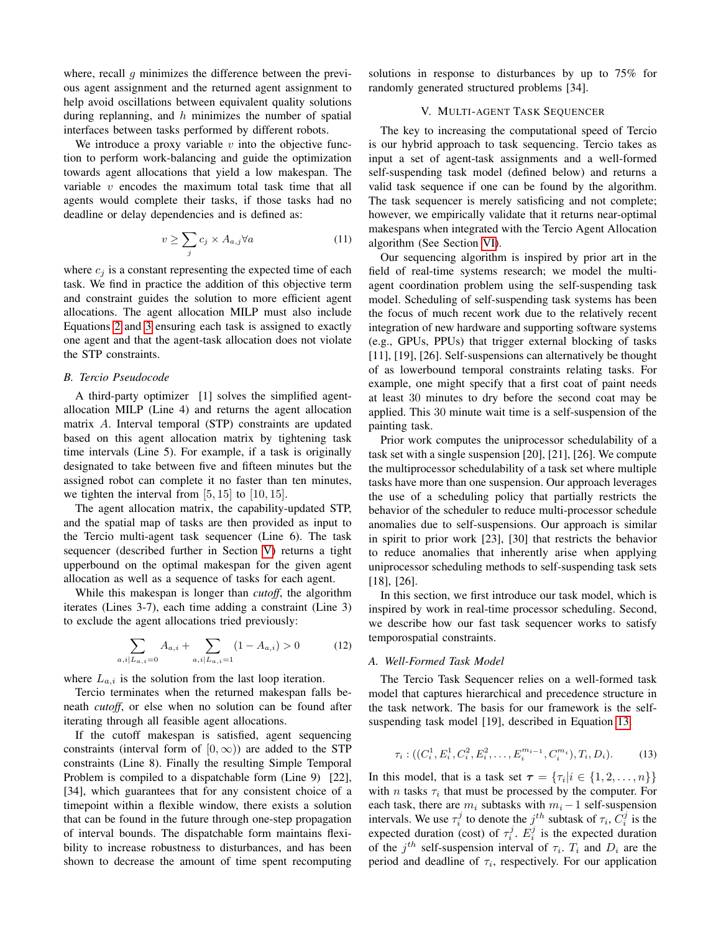where, recall  $q$  minimizes the difference between the previous agent assignment and the returned agent assignment to help avoid oscillations between equivalent quality solutions during replanning, and  $h$  minimizes the number of spatial interfaces between tasks performed by different robots.

We introduce a proxy variable  $v$  into the objective function to perform work-balancing and guide the optimization towards agent allocations that yield a low makespan. The variable  $v$  encodes the maximum total task time that all agents would complete their tasks, if those tasks had no deadline or delay dependencies and is defined as:

$$
v \ge \sum_{j} c_j \times A_{a,j} \forall a \tag{11}
$$

where  $c_i$  is a constant representing the expected time of each task. We find in practice the addition of this objective term and constraint guides the solution to more efficient agent allocations. The agent allocation MILP must also include Equations [2](#page-1-1) and [3](#page-1-2) ensuring each task is assigned to exactly one agent and that the agent-task allocation does not violate the STP constraints.

# *B. Tercio Pseudocode*

A third-party optimizer [1] solves the simplified agentallocation MILP (Line 4) and returns the agent allocation matrix A. Interval temporal (STP) constraints are updated based on this agent allocation matrix by tightening task time intervals (Line 5). For example, if a task is originally designated to take between five and fifteen minutes but the assigned robot can complete it no faster than ten minutes, we tighten the interval from  $[5, 15]$  to  $[10, 15]$ .

The agent allocation matrix, the capability-updated STP, and the spatial map of tasks are then provided as input to the Tercio multi-agent task sequencer (Line 6). The task sequencer (described further in Section [V\)](#page-3-0) returns a tight upperbound on the optimal makespan for the given agent allocation as well as a sequence of tasks for each agent.

While this makespan is longer than *cutoff*, the algorithm iterates (Lines 3-7), each time adding a constraint (Line 3) to exclude the agent allocations tried previously:

$$
\sum_{a,i|L_{a,i}=0} A_{a,i} + \sum_{a,i|L_{a,i}=1} (1 - A_{a,i}) > 0
$$
 (12)

where  $L_{a,i}$  is the solution from the last loop iteration.

Tercio terminates when the returned makespan falls beneath *cutoff*, or else when no solution can be found after iterating through all feasible agent allocations.

If the cutoff makespan is satisfied, agent sequencing constraints (interval form of  $[0, \infty)$ ) are added to the STP constraints (Line 8). Finally the resulting Simple Temporal Problem is compiled to a dispatchable form (Line 9) [22], [34], which guarantees that for any consistent choice of a timepoint within a flexible window, there exists a solution that can be found in the future through one-step propagation of interval bounds. The dispatchable form maintains flexibility to increase robustness to disturbances, and has been shown to decrease the amount of time spent recomputing

solutions in response to disturbances by up to 75% for randomly generated structured problems [34].

## V. MULTI-AGENT TASK SEQUENCER

<span id="page-3-0"></span>The key to increasing the computational speed of Tercio is our hybrid approach to task sequencing. Tercio takes as input a set of agent-task assignments and a well-formed self-suspending task model (defined below) and returns a valid task sequence if one can be found by the algorithm. The task sequencer is merely satisficing and not complete; however, we empirically validate that it returns near-optimal makespans when integrated with the Tercio Agent Allocation algorithm (See Section [VI\)](#page-5-0).

Our sequencing algorithm is inspired by prior art in the field of real-time systems research; we model the multiagent coordination problem using the self-suspending task model. Scheduling of self-suspending task systems has been the focus of much recent work due to the relatively recent integration of new hardware and supporting software systems (e.g., GPUs, PPUs) that trigger external blocking of tasks [11], [19], [26]. Self-suspensions can alternatively be thought of as lowerbound temporal constraints relating tasks. For example, one might specify that a first coat of paint needs at least 30 minutes to dry before the second coat may be applied. This 30 minute wait time is a self-suspension of the painting task.

Prior work computes the uniprocessor schedulability of a task set with a single suspension [20], [21], [26]. We compute the multiprocessor schedulability of a task set where multiple tasks have more than one suspension. Our approach leverages the use of a scheduling policy that partially restricts the behavior of the scheduler to reduce multi-processor schedule anomalies due to self-suspensions. Our approach is similar in spirit to prior work [23], [30] that restricts the behavior to reduce anomalies that inherently arise when applying uniprocessor scheduling methods to self-suspending task sets [18], [26].

In this section, we first introduce our task model, which is inspired by work in real-time processor scheduling. Second, we describe how our fast task sequencer works to satisfy temporospatial constraints.

#### *A. Well-Formed Task Model*

The Tercio Task Sequencer relies on a well-formed task model that captures hierarchical and precedence structure in the task network. The basis for our framework is the selfsuspending task model [19], described in Equation [13.](#page-3-1)

<span id="page-3-1"></span>
$$
\tau_i: ((C_i^1, E_i^1, C_i^2, E_i^2, \dots, E_i^{m_{i-1}}, C_i^{m_i}), T_i, D_i).
$$
 (13)

In this model, that is a task set  $\tau = \{\tau_i | i \in \{1, 2, ..., n\}\}\$ with *n* tasks  $\tau_i$  that must be processed by the computer. For each task, there are  $m_i$  subtasks with  $m_i - 1$  self-suspension intervals. We use  $\tau_i^j$  to denote the  $j^{th}$  subtask of  $\tau_i$ ,  $C_i^j$  is the expected duration (cost) of  $\tau_i^j$ .  $E_i^j$  is the expected duration of the  $j<sup>th</sup>$  self-suspension interval of  $\tau_i$ .  $T_i$  and  $D_i$  are the period and deadline of  $\tau_i$ , respectively. For our application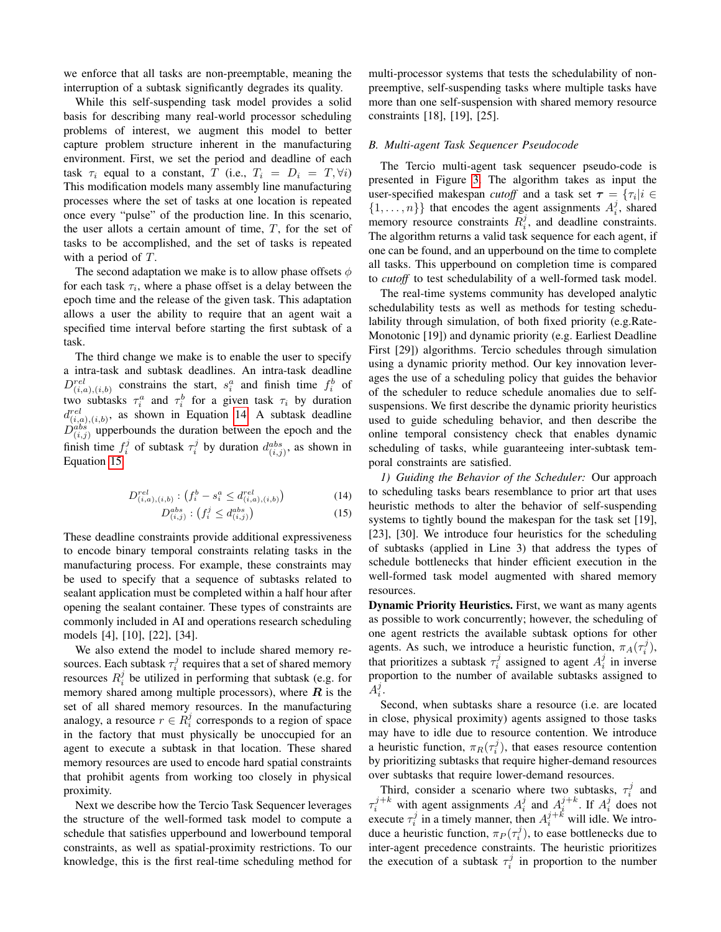we enforce that all tasks are non-preemptable, meaning the interruption of a subtask significantly degrades its quality.

While this self-suspending task model provides a solid basis for describing many real-world processor scheduling problems of interest, we augment this model to better capture problem structure inherent in the manufacturing environment. First, we set the period and deadline of each task  $\tau_i$  equal to a constant, T (i.e.,  $T_i = D_i = T, \forall i$ ) This modification models many assembly line manufacturing processes where the set of tasks at one location is repeated once every "pulse" of the production line. In this scenario, the user allots a certain amount of time,  $T$ , for the set of tasks to be accomplished, and the set of tasks is repeated with a period of T.

The second adaptation we make is to allow phase offsets  $\phi$ for each task  $\tau_i$ , where a phase offset is a delay between the epoch time and the release of the given task. This adaptation allows a user the ability to require that an agent wait a specified time interval before starting the first subtask of a task.

The third change we make is to enable the user to specify a intra-task and subtask deadlines. An intra-task deadline  $D_{(i,a),(i,b)}^{rel}$  constrains the start,  $s_i^a$  and finish time  $f_i^b$  of two subtasks  $\tau_i^a$  and  $\tau_i^b$  for a given task  $\tau_i$  by duration  $d_{(i,a),(i,b)}^{rel}$ , as shown in Equation [14.](#page-4-0) A subtask deadline  $D_{(i,j)}^{abs}$  upperbounds the duration between the epoch and the finish time  $f_i^j$  of subtask  $\tau_i^j$  by duration  $d_{(i,j)}^{abs}$ , as shown in Equation [15.](#page-4-0)

<span id="page-4-0"></span>
$$
D_{(i,a),(i,b)}^{rel}: (f_i^b - s_i^a \le d_{(i,a),(i,b)}^{rel})
$$
 (14)

$$
D_{(i,j)}^{abs}: (f_i^j \le d_{(i,j)}^{abs})
$$
\n
$$
(15)
$$

These deadline constraints provide additional expressiveness to encode binary temporal constraints relating tasks in the manufacturing process. For example, these constraints may be used to specify that a sequence of subtasks related to sealant application must be completed within a half hour after opening the sealant container. These types of constraints are commonly included in AI and operations research scheduling models [4], [10], [22], [34].

We also extend the model to include shared memory resources. Each subtask  $\tau_i^j$  requires that a set of shared memory resources  $R_i^j$  be utilized in performing that subtask (e.g. for memory shared among multiple processors), where  $R$  is the set of all shared memory resources. In the manufacturing analogy, a resource  $r \in \dot{R}_i^j$  corresponds to a region of space in the factory that must physically be unoccupied for an agent to execute a subtask in that location. These shared memory resources are used to encode hard spatial constraints that prohibit agents from working too closely in physical proximity.

Next we describe how the Tercio Task Sequencer leverages the structure of the well-formed task model to compute a schedule that satisfies upperbound and lowerbound temporal constraints, as well as spatial-proximity restrictions. To our knowledge, this is the first real-time scheduling method for

multi-processor systems that tests the schedulability of nonpreemptive, self-suspending tasks where multiple tasks have more than one self-suspension with shared memory resource constraints [18], [19], [25].

## *B. Multi-agent Task Sequencer Pseudocode*

The Tercio multi-agent task sequencer pseudo-code is presented in Figure [3.](#page-6-0) The algorithm takes as input the user-specified makespan *cutoff* and a task set  $\tau = \{\tau_i | i \in$  $\{1, \ldots, n\}$  that encodes the agent assignments  $A_i^j$ , shared memory resource constraints  $R_i^j$ , and deadline constraints. The algorithm returns a valid task sequence for each agent, if one can be found, and an upperbound on the time to complete all tasks. This upperbound on completion time is compared to *cutoff* to test schedulability of a well-formed task model.

The real-time systems community has developed analytic schedulability tests as well as methods for testing schedulability through simulation, of both fixed priority (e.g.Rate-Monotonic [19]) and dynamic priority (e.g. Earliest Deadline First [29]) algorithms. Tercio schedules through simulation using a dynamic priority method. Our key innovation leverages the use of a scheduling policy that guides the behavior of the scheduler to reduce schedule anomalies due to selfsuspensions. We first describe the dynamic priority heuristics used to guide scheduling behavior, and then describe the online temporal consistency check that enables dynamic scheduling of tasks, while guaranteeing inter-subtask temporal constraints are satisfied.

*1) Guiding the Behavior of the Scheduler:* Our approach to scheduling tasks bears resemblance to prior art that uses heuristic methods to alter the behavior of self-suspending systems to tightly bound the makespan for the task set [19], [23], [30]. We introduce four heuristics for the scheduling of subtasks (applied in Line 3) that address the types of schedule bottlenecks that hinder efficient execution in the well-formed task model augmented with shared memory resources.

Dynamic Priority Heuristics. First, we want as many agents as possible to work concurrently; however, the scheduling of one agent restricts the available subtask options for other agents. As such, we introduce a heuristic function,  $\pi_A(\tau_i^j)$ , that prioritizes a subtask  $\tau_i^j$  assigned to agent  $A_i^j$  in inverse proportion to the number of available subtasks assigned to  $A_i^j$ .

Second, when subtasks share a resource (i.e. are located in close, physical proximity) agents assigned to those tasks may have to idle due to resource contention. We introduce a heuristic function,  $\pi_R(\tau_i^j)$ , that eases resource contention by prioritizing subtasks that require higher-demand resources over subtasks that require lower-demand resources.

Third, consider a scenario where two subtasks,  $\tau_i^j$  and  $\tau_i^{j+k}$  with agent assignments  $A_i^j$  and  $A_i^{j+k}$ . If  $A_i^j$  does not execute  $\tau_i^j$  in a timely manner, then  $A_i^{j+k}$  will idle. We introduce a heuristic function,  $\pi_P(\tau_i^j)$ , to ease bottlenecks due to inter-agent precedence constraints. The heuristic prioritizes the execution of a subtask  $\tau_i^j$  in proportion to the number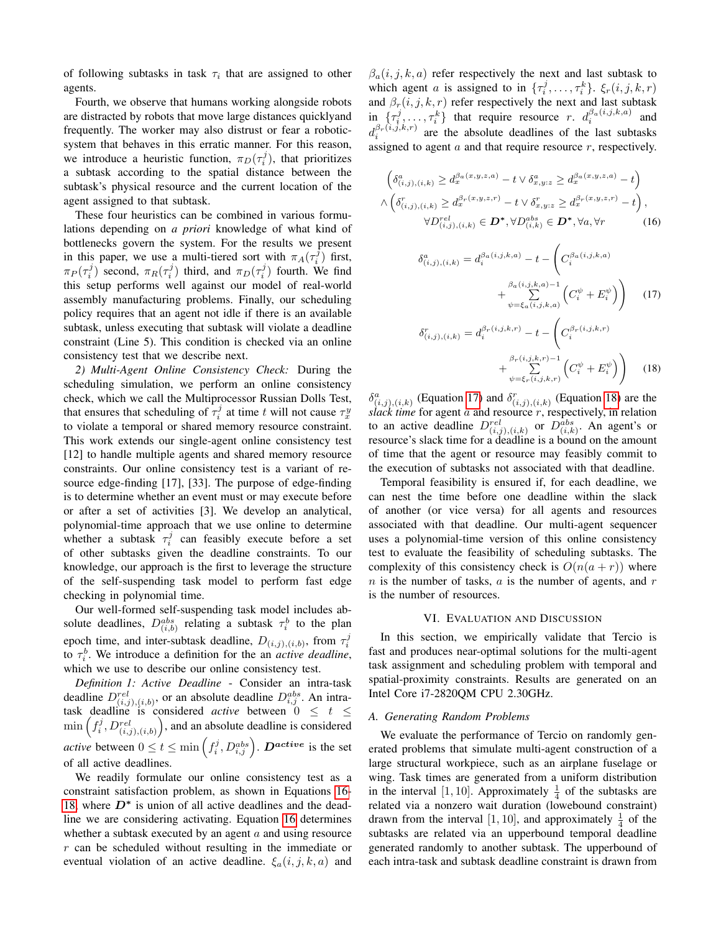of following subtasks in task  $\tau_i$  that are assigned to other agents.

Fourth, we observe that humans working alongside robots are distracted by robots that move large distances quicklyand frequently. The worker may also distrust or fear a roboticsystem that behaves in this erratic manner. For this reason, we introduce a heuristic function,  $\pi_D(\tau_i^j)$ , that prioritizes a subtask according to the spatial distance between the subtask's physical resource and the current location of the agent assigned to that subtask.

These four heuristics can be combined in various formulations depending on *a priori* knowledge of what kind of bottlenecks govern the system. For the results we present in this paper, we use a multi-tiered sort with  $\pi_A(\tau_i^j)$  first,  $\pi_P(\tau_i^j)$  second,  $\pi_R(\tau_i^j)$  third, and  $\pi_D(\tau_i^j)$  fourth. We find this setup performs well against our model of real-world assembly manufacturing problems. Finally, our scheduling policy requires that an agent not idle if there is an available subtask, unless executing that subtask will violate a deadline constraint (Line 5). This condition is checked via an online consistency test that we describe next.

*2) Multi-Agent Online Consistency Check:* During the scheduling simulation, we perform an online consistency check, which we call the Multiprocessor Russian Dolls Test, that ensures that scheduling of  $\tau_i^j$  at time t will not cause  $\tau_x^y$ to violate a temporal or shared memory resource constraint. This work extends our single-agent online consistency test [12] to handle multiple agents and shared memory resource constraints. Our online consistency test is a variant of resource edge-finding [17], [33]. The purpose of edge-finding is to determine whether an event must or may execute before or after a set of activities [3]. We develop an analytical, polynomial-time approach that we use online to determine whether a subtask  $\tau_i^j$  can feasibly execute before a set of other subtasks given the deadline constraints. To our knowledge, our approach is the first to leverage the structure of the self-suspending task model to perform fast edge checking in polynomial time.

Our well-formed self-suspending task model includes absolute deadlines,  $D_{(i,b)}^{abs}$  relating a subtask  $\tau_i^b$  to the plan epoch time, and inter-subtask deadline,  $D_{(i,j),(i,b)}$ , from  $\tau_i^j$ to  $\tau_i^b$ . We introduce a definition for the an *active deadline*, which we use to describe our online consistency test.

*Definition 1: Active Deadline* - Consider an intra-task deadline  $D_{(i,j),(i,b)}^{rel}$ , or an absolute deadline  $D_{i,j}^{abs}$ . An intratask deadline is considered *active* between  $0 \leq t \leq$  $\min\left(f_i^j, D_{(i,j),(i,b)}^{rel}\right)$ , and an absolute deadline is considered *active* between  $0 \le t \le \min\left(f_i^j, D_{i,j}^{abs}\right)$ .  $\boldsymbol{D}^{active}$  is the set of all active deadlines.

We readily formulate our online consistency test as a constraint satisfaction problem, as shown in Equations [16-](#page-5-1) [18,](#page-5-1) where  $D^*$  is union of all active deadlines and the deadline we are considering activating. Equation [16](#page-5-1) determines whether a subtask executed by an agent  $a$  and using resource r can be scheduled without resulting in the immediate or eventual violation of an active deadline.  $\xi_a(i, j, k, a)$  and  $\beta_a(i, j, k, a)$  refer respectively the next and last subtask to which agent a is assigned to in  $\{\tau_i^j, \ldots, \tau_i^k\}$ .  $\xi_r(i, j, k, r)$ and  $\beta_r(i, j, k, r)$  refer respectively the next and last subtask in  $\{\tau_i^j, \ldots, \tau_i^k\}$  that require resource r.  $d_i^{\beta_a(i,j,k,a)}$  and  $d_i^{\beta_r(i,j,k,r)}$  are the absolute deadlines of the last subtasks assigned to agent  $a$  and that require resource  $r$ , respectively.

<span id="page-5-1"></span>
$$
\begin{aligned}\n\left(\delta_{(i,j),(i,k)}^a \ge d_x^{\beta_a(x,y,z,a)} - t \vee \delta_{x,y;z}^a \ge d_x^{\beta_a(x,y,z,a)} - t\right) \\
\wedge \left(\delta_{(i,j),(i,k)}^r \ge d_x^{\beta_r(x,y,z,r)} - t \vee \delta_{x,y;z}^r \ge d_x^{\beta_r(x,y,z,r)} - t\right), \\
\forall D_{(i,j),(i,k)}^{rel} \in \mathbf{D}^*, \forall D_{(i,k)}^{abs} \in \mathbf{D}^*, \forall a, \forall r\n\end{aligned} \tag{16}
$$

$$
\delta_{(i,j),(i,k)}^{a} = d_{i}^{\beta_{a}(i,j,k,a)} - t - \left(C_{i}^{\beta_{a}(i,j,k,a)}\right) + \sum_{\psi=\xi_{a}(i,j,k,a)}^{\beta_{a}(i,j,k,a)-1} \left(C_{i}^{\psi} + E_{i}^{\psi}\right) \right)
$$
(17)  

$$
\delta_{(i,j),(i,k)}^{r} = d_{i}^{\beta_{r}(i,j,k,r)} - t - \left(C_{i}^{\beta_{r}(i,j,k,r)}\right)
$$

$$
-u_i = -\sum_{\psi=\xi_r(i,j,k,r)} U_i
$$
  
+ 
$$
\sum_{\psi=\xi_r(i,j,k,r)} \left( C_i^{\psi} + E_i^{\psi} \right)
$$
 (18)

 $\delta^a_{(i,j),(i,k)}$  (Equation [17\)](#page-5-1) and  $\delta^r_{(i,j),(i,k)}$  (Equation [18\)](#page-5-1) are the *slack time* for agent a and resource r, respectively, in relation to an active deadline  $D_{(i,j),(i,k)}^{rel}$  or  $D_{(i,k)}^{abs}$ . An agent's or resource's slack time for a deadline is a bound on the amount of time that the agent or resource may feasibly commit to the execution of subtasks not associated with that deadline.

Temporal feasibility is ensured if, for each deadline, we can nest the time before one deadline within the slack of another (or vice versa) for all agents and resources associated with that deadline. Our multi-agent sequencer uses a polynomial-time version of this online consistency test to evaluate the feasibility of scheduling subtasks. The complexity of this consistency check is  $O(n(a+r))$  where  $n$  is the number of tasks,  $a$  is the number of agents, and  $r$ is the number of resources.

## VI. EVALUATION AND DISCUSSION

<span id="page-5-0"></span>In this section, we empirically validate that Tercio is fast and produces near-optimal solutions for the multi-agent task assignment and scheduling problem with temporal and spatial-proximity constraints. Results are generated on an Intel Core i7-2820QM CPU 2.30GHz.

## *A. Generating Random Problems*

We evaluate the performance of Tercio on randomly generated problems that simulate multi-agent construction of a large structural workpiece, such as an airplane fuselage or wing. Task times are generated from a uniform distribution in the interval [1, 10]. Approximately  $\frac{1}{4}$  of the subtasks are related via a nonzero wait duration (lowebound constraint) drawn from the interval [1, 10], and approximately  $\frac{1}{4}$  of the subtasks are related via an upperbound temporal deadline generated randomly to another subtask. The upperbound of each intra-task and subtask deadline constraint is drawn from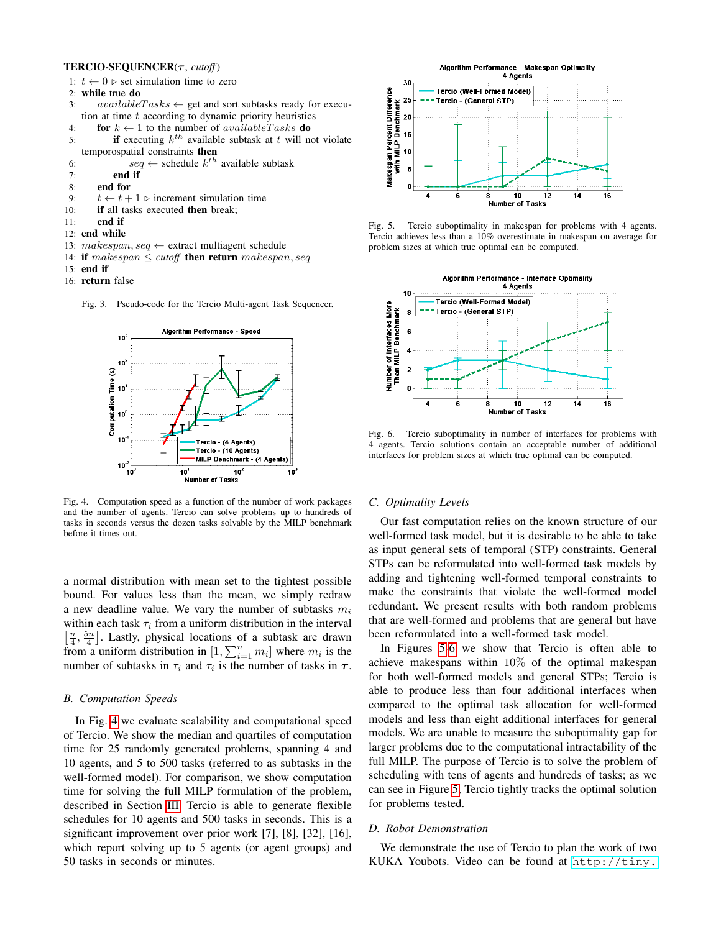#### TERCIO-SEQUENCER(τ, *cutoff*)

- 1:  $t \leftarrow 0$   $\triangleright$  set simulation time to zero
- 2: while true do
- 3:  $available Tasks \leftarrow get$  and sort subtasks ready for execution at time  $t$  according to dynamic priority heuristics
- 4: for  $k \leftarrow 1$  to the number of *availableTasks* **do**
- 5: **if** executing  $k^{th}$  available subtask at t will not violate temporospatial constraints then
- 6:  $seq \leftarrow$  schedule  $k^{th}$  available subtask
- 7: end if
- 8: end for
- 9:  $t \leftarrow t + 1$   $\triangleright$  increment simulation time
- 10: **if** all tasks executed **then** break;
- $11:$  end if
- 12: end while
- 13:  $makespan, seq \leftarrow$  extract multiagent schedule
- 14: if  $makespan \leq cutoff$  then return makespan, seq
- 15: end if
- 16: return false



<span id="page-6-0"></span>

<span id="page-6-1"></span>Fig. 4. Computation speed as a function of the number of work packages and the number of agents. Tercio can solve problems up to hundreds of tasks in seconds versus the dozen tasks solvable by the MILP benchmark before it times out.

a normal distribution with mean set to the tightest possible bound. For values less than the mean, we simply redraw a new deadline value. We vary the number of subtasks  $m_i$ within each task  $\tau_i$  from a uniform distribution in the interval  $\left[\frac{n}{4}, \frac{5n}{4}\right]$ . Lastly, physical locations of a subtask are drawn from a uniform distribution in  $[1, \sum_{i=1}^{n} m_i]$  where  $m_i$  is the number of subtasks in  $\tau_i$  and  $\tau_i$  is the number of tasks in  $\tau$ .

## *B. Computation Speeds*

In Fig. [4](#page-6-1) we evaluate scalability and computational speed of Tercio. We show the median and quartiles of computation time for 25 randomly generated problems, spanning 4 and 10 agents, and 5 to 500 tasks (referred to as subtasks in the well-formed model). For comparison, we show computation time for solving the full MILP formulation of the problem, described in Section [III.](#page-1-0) Tercio is able to generate flexible schedules for 10 agents and 500 tasks in seconds. This is a significant improvement over prior work [7], [8], [32], [16], which report solving up to 5 agents (or agent groups) and 50 tasks in seconds or minutes.



<span id="page-6-2"></span>Fig. 5. Tercio suboptimality in makespan for problems with 4 agents. Tercio achieves less than a 10% overestimate in makespan on average for problem sizes at which true optimal can be computed.



<span id="page-6-3"></span>Fig. 6. Tercio suboptimality in number of interfaces for problems with 4 agents. Tercio solutions contain an acceptable number of additional interfaces for problem sizes at which true optimal can be computed.

## *C. Optimality Levels*

Our fast computation relies on the known structure of our well-formed task model, but it is desirable to be able to take as input general sets of temporal (STP) constraints. General STPs can be reformulated into well-formed task models by adding and tightening well-formed temporal constraints to make the constraints that violate the well-formed model redundant. We present results with both random problems that are well-formed and problems that are general but have been reformulated into a well-formed task model.

In Figures [5-](#page-6-2)[6](#page-6-3) we show that Tercio is often able to achieve makespans within 10% of the optimal makespan for both well-formed models and general STPs; Tercio is able to produce less than four additional interfaces when compared to the optimal task allocation for well-formed models and less than eight additional interfaces for general models. We are unable to measure the suboptimality gap for larger problems due to the computational intractability of the full MILP. The purpose of Tercio is to solve the problem of scheduling with tens of agents and hundreds of tasks; as we can see in Figure [5,](#page-6-2) Tercio tightly tracks the optimal solution for problems tested.

## *D. Robot Demonstration*

We demonstrate the use of Tercio to plan the work of two KUKA Youbots. Video can be found at [http://tiny.](http://tiny.cc/2aytrw)